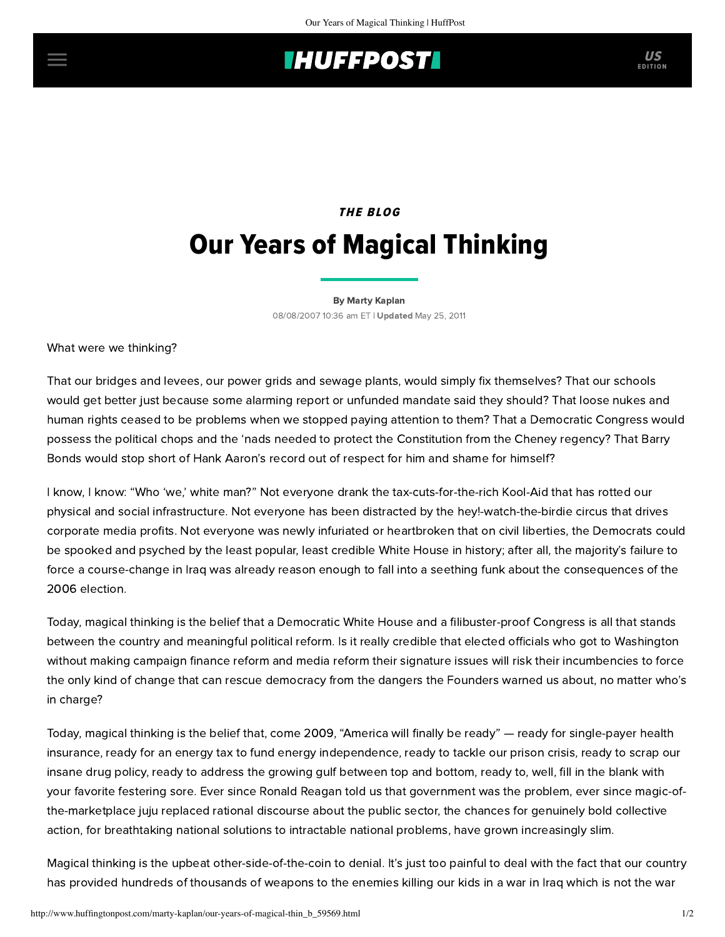## **INUFFPOSTI** US

## THE BLOG Our Years of Magical Thinking

[By Marty Kaplan](http://www.huffingtonpost.com/author/marty-kaplan) 08/08/2007 10:36 am ET | Updated May 25, 2011

What were we thinking?

That our bridges and levees, our power grids and sewage plants, would simply fix themselves? That our schools would get better just because some alarming report or unfunded mandate said they should? That loose nukes and human rights ceased to be problems when we stopped paying attention to them? That a Democratic Congress would possess the political chops and the 'nads needed to protect the Constitution from the Cheney regency? That Barry Bonds would stop short of Hank Aaron's record out of respect for him and shame for himself?

I know, I know: "Who 'we,' white man?" Not everyone drank the tax-cuts-for-the-rich Kool-Aid that has rotted our physical and social infrastructure. Not everyone has been distracted by the hey!-watch-the-birdie circus that drives corporate media profits. Not everyone was newly infuriated or heartbroken that on civil liberties, the Democrats could be spooked and psyched by the least popular, least credible White House in history; after all, the majority's failure to force a course-change in Iraq was already reason enough to fall into a seething funk about the consequences of the 2006 election.

Today, magical thinking is the belief that a Democratic White House and a filibuster-proof Congress is all that stands between the country and meaningful political reform. Is it really credible that elected officials who got to Washington without making campaign finance reform and media reform their signature issues will risk their incumbencies to force the only kind of change that can rescue democracy from the dangers the Founders warned us about, no matter who's in charge?

Today, magical thinking is the belief that, come 2009, "America will finally be ready" — ready for single-payer health insurance, ready for an energy tax to fund energy independence, ready to tackle our prison crisis, ready to scrap our insane drug policy, ready to address the growing gulf between top and bottom, ready to, well, fill in the blank with your favorite festering sore. Ever since Ronald Reagan told us that government was the problem, ever since magic-ofthe-marketplace juju replaced rational discourse about the public sector, the chances for genuinely bold collective action, for breathtaking national solutions to intractable national problems, have grown increasingly slim.

Magical thinking is the upbeat other-side-of-the-coin to denial. It's just too painful to deal with the fact that our country has provided hundreds of thousands of weapons to the enemies killing our kids in a war in Iraq which is not the war